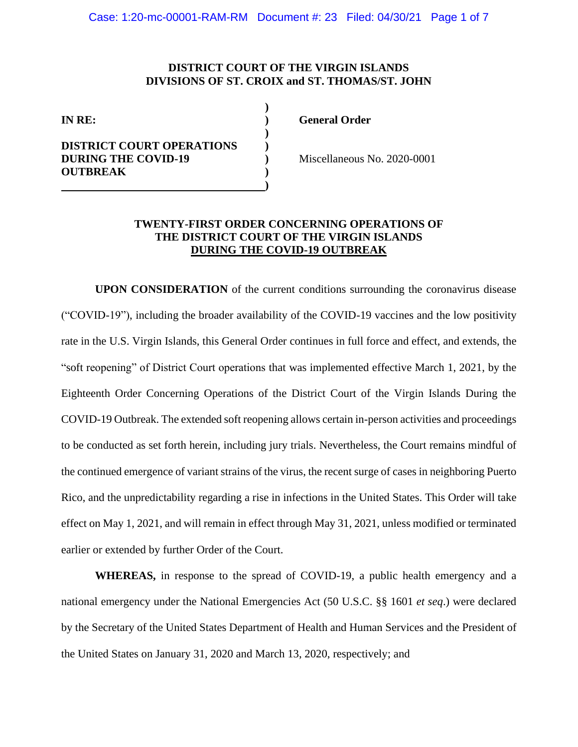# **DISTRICT COURT OF THE VIRGIN ISLANDS DIVISIONS OF ST. CROIX and ST. THOMAS/ST. JOHN**

| IN RE:                                                         |  |
|----------------------------------------------------------------|--|
| <b>DISTRICT COURT OPERATIONS</b><br><b>DURING THE COVID-19</b> |  |
| <b>OUTBREAK</b>                                                |  |

**IN RE: ) General Order** 

**DURING THE COVID-19 )** Miscellaneous No. 2020-0001

# **TWENTY-FIRST ORDER CONCERNING OPERATIONS OF THE DISTRICT COURT OF THE VIRGIN ISLANDS DURING THE COVID-19 OUTBREAK**

**UPON CONSIDERATION** of the current conditions surrounding the coronavirus disease ("COVID-19"), including the broader availability of the COVID-19 vaccines and the low positivity rate in the U.S. Virgin Islands, this General Order continues in full force and effect, and extends, the "soft reopening" of District Court operations that was implemented effective March 1, 2021, by the Eighteenth Order Concerning Operations of the District Court of the Virgin Islands During the COVID-19 Outbreak. The extended soft reopening allows certain in-person activities and proceedings to be conducted as set forth herein, including jury trials. Nevertheless, the Court remains mindful of the continued emergence of variant strains of the virus, the recent surge of cases in neighboring Puerto Rico, and the unpredictability regarding a rise in infections in the United States. This Order will take effect on May 1, 2021, and will remain in effect through May 31, 2021, unless modified or terminated earlier or extended by further Order of the Court.

**WHEREAS,** in response to the spread of COVID-19, a public health emergency and a national emergency under the National Emergencies Act (50 U.S.C. §§ 1601 *et seq*.) were declared by the Secretary of the United States Department of Health and Human Services and the President of the United States on January 31, 2020 and March 13, 2020, respectively; and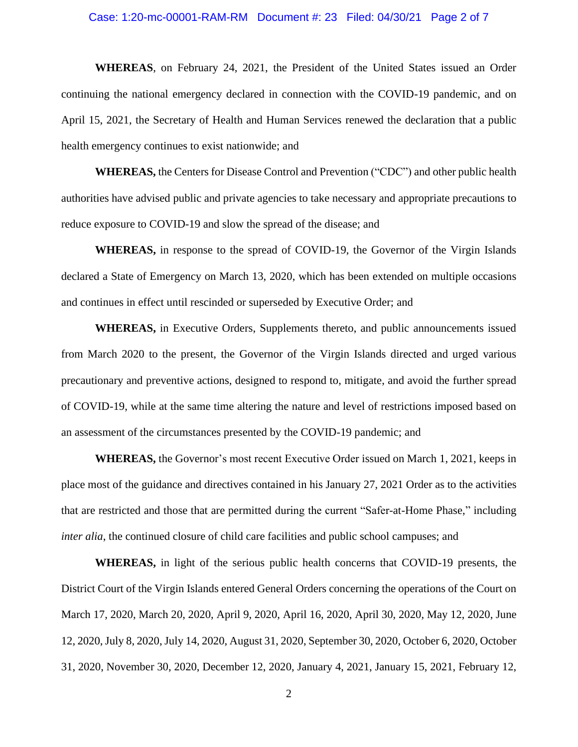#### Case: 1:20-mc-00001-RAM-RM Document #: 23 Filed: 04/30/21 Page 2 of 7

**WHEREAS**, on February 24, 2021, the President of the United States issued an Order continuing the national emergency declared in connection with the COVID-19 pandemic, and on April 15, 2021, the Secretary of Health and Human Services renewed the declaration that a public health emergency continues to exist nationwide; and

**WHEREAS,** the Centers for Disease Control and Prevention ("CDC") and other public health authorities have advised public and private agencies to take necessary and appropriate precautions to reduce exposure to COVID-19 and slow the spread of the disease; and

**WHEREAS,** in response to the spread of COVID-19, the Governor of the Virgin Islands declared a State of Emergency on March 13, 2020, which has been extended on multiple occasions and continues in effect until rescinded or superseded by Executive Order; and

**WHEREAS,** in Executive Orders, Supplements thereto, and public announcements issued from March 2020 to the present, the Governor of the Virgin Islands directed and urged various precautionary and preventive actions, designed to respond to, mitigate, and avoid the further spread of COVID-19, while at the same time altering the nature and level of restrictions imposed based on an assessment of the circumstances presented by the COVID-19 pandemic; and

**WHEREAS,** the Governor's most recent Executive Order issued on March 1, 2021, keeps in place most of the guidance and directives contained in his January 27, 2021 Order as to the activities that are restricted and those that are permitted during the current "Safer-at-Home Phase," including *inter alia*, the continued closure of child care facilities and public school campuses; and

**WHEREAS,** in light of the serious public health concerns that COVID-19 presents, the District Court of the Virgin Islands entered General Orders concerning the operations of the Court on March 17, 2020, March 20, 2020, April 9, 2020, April 16, 2020, April 30, 2020, May 12, 2020, June 12, 2020, July 8, 2020, July 14, 2020, August 31, 2020, September 30, 2020, October 6, 2020, October 31, 2020, November 30, 2020, December 12, 2020, January 4, 2021, January 15, 2021, February 12,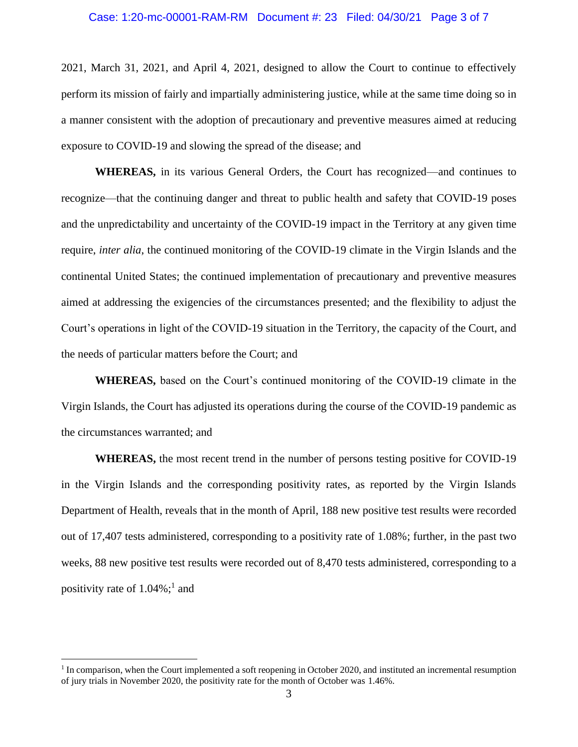#### Case: 1:20-mc-00001-RAM-RM Document #: 23 Filed: 04/30/21 Page 3 of 7

2021, March 31, 2021, and April 4, 2021, designed to allow the Court to continue to effectively perform its mission of fairly and impartially administering justice, while at the same time doing so in a manner consistent with the adoption of precautionary and preventive measures aimed at reducing exposure to COVID-19 and slowing the spread of the disease; and

**WHEREAS,** in its various General Orders, the Court has recognized—and continues to recognize—that the continuing danger and threat to public health and safety that COVID-19 poses and the unpredictability and uncertainty of the COVID-19 impact in the Territory at any given time require, *inter alia*, the continued monitoring of the COVID-19 climate in the Virgin Islands and the continental United States; the continued implementation of precautionary and preventive measures aimed at addressing the exigencies of the circumstances presented; and the flexibility to adjust the Court's operations in light of the COVID-19 situation in the Territory, the capacity of the Court, and the needs of particular matters before the Court; and

**WHEREAS,** based on the Court's continued monitoring of the COVID-19 climate in the Virgin Islands, the Court has adjusted its operations during the course of the COVID-19 pandemic as the circumstances warranted; and

**WHEREAS,** the most recent trend in the number of persons testing positive for COVID-19 in the Virgin Islands and the corresponding positivity rates, as reported by the Virgin Islands Department of Health, reveals that in the month of April, 188 new positive test results were recorded out of 17,407 tests administered, corresponding to a positivity rate of 1.08%; further, in the past two weeks, 88 new positive test results were recorded out of 8,470 tests administered, corresponding to a positivity rate of  $1.04\%$ ;<sup>1</sup> and

<sup>&</sup>lt;sup>1</sup> In comparison, when the Court implemented a soft reopening in October 2020, and instituted an incremental resumption of jury trials in November 2020, the positivity rate for the month of October was 1.46%.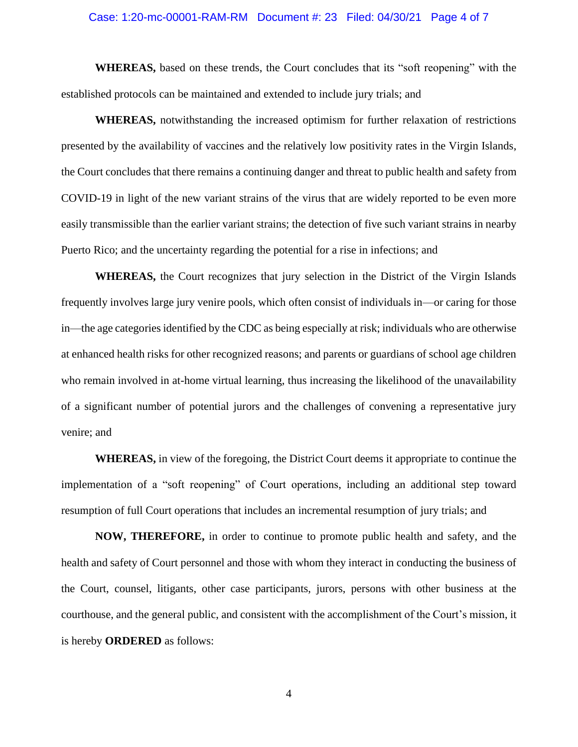#### Case: 1:20-mc-00001-RAM-RM Document #: 23 Filed: 04/30/21 Page 4 of 7

**WHEREAS,** based on these trends, the Court concludes that its "soft reopening" with the established protocols can be maintained and extended to include jury trials; and

**WHEREAS,** notwithstanding the increased optimism for further relaxation of restrictions presented by the availability of vaccines and the relatively low positivity rates in the Virgin Islands, the Court concludes that there remains a continuing danger and threat to public health and safety from COVID-19 in light of the new variant strains of the virus that are widely reported to be even more easily transmissible than the earlier variant strains; the detection of five such variant strains in nearby Puerto Rico; and the uncertainty regarding the potential for a rise in infections; and

**WHEREAS,** the Court recognizes that jury selection in the District of the Virgin Islands frequently involves large jury venire pools, which often consist of individuals in—or caring for those in—the age categories identified by the CDC as being especially at risk; individuals who are otherwise at enhanced health risks for other recognized reasons; and parents or guardians of school age children who remain involved in at-home virtual learning, thus increasing the likelihood of the unavailability of a significant number of potential jurors and the challenges of convening a representative jury venire; and

**WHEREAS,** in view of the foregoing, the District Court deems it appropriate to continue the implementation of a "soft reopening" of Court operations, including an additional step toward resumption of full Court operations that includes an incremental resumption of jury trials; and

**NOW, THEREFORE,** in order to continue to promote public health and safety, and the health and safety of Court personnel and those with whom they interact in conducting the business of the Court, counsel, litigants, other case participants, jurors, persons with other business at the courthouse, and the general public, and consistent with the accomplishment of the Court's mission, it is hereby **ORDERED** as follows:

4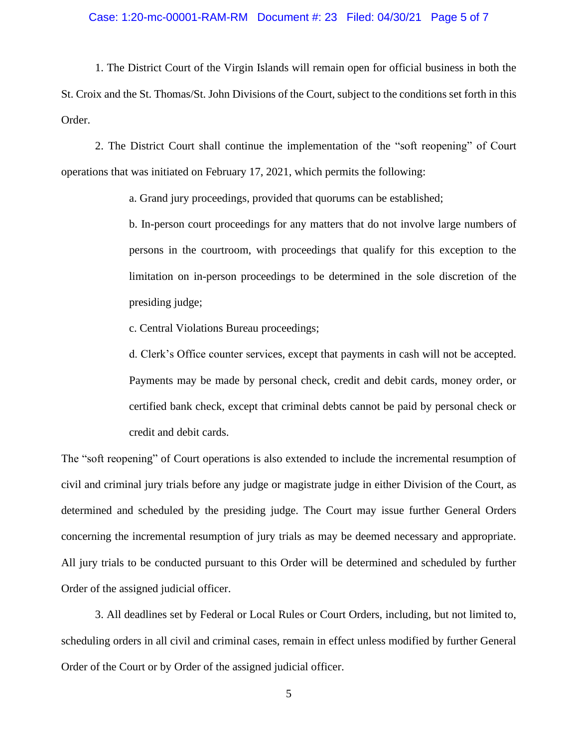## Case: 1:20-mc-00001-RAM-RM Document #: 23 Filed: 04/30/21 Page 5 of 7

1. The District Court of the Virgin Islands will remain open for official business in both the St. Croix and the St. Thomas/St. John Divisions of the Court, subject to the conditions set forth in this Order.

2. The District Court shall continue the implementation of the "soft reopening" of Court operations that was initiated on February 17, 2021, which permits the following:

a. Grand jury proceedings, provided that quorums can be established;

b. In-person court proceedings for any matters that do not involve large numbers of persons in the courtroom, with proceedings that qualify for this exception to the limitation on in-person proceedings to be determined in the sole discretion of the presiding judge;

c. Central Violations Bureau proceedings;

d. Clerk's Office counter services, except that payments in cash will not be accepted. Payments may be made by personal check, credit and debit cards, money order, or certified bank check, except that criminal debts cannot be paid by personal check or credit and debit cards.

The "soft reopening" of Court operations is also extended to include the incremental resumption of civil and criminal jury trials before any judge or magistrate judge in either Division of the Court, as determined and scheduled by the presiding judge. The Court may issue further General Orders concerning the incremental resumption of jury trials as may be deemed necessary and appropriate. All jury trials to be conducted pursuant to this Order will be determined and scheduled by further Order of the assigned judicial officer.

3. All deadlines set by Federal or Local Rules or Court Orders, including, but not limited to, scheduling orders in all civil and criminal cases, remain in effect unless modified by further General Order of the Court or by Order of the assigned judicial officer.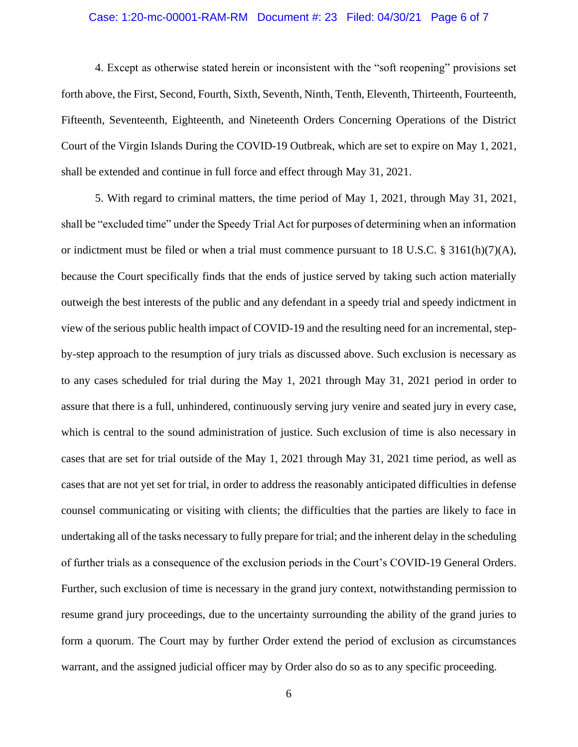### Case: 1:20-mc-00001-RAM-RM Document #: 23 Filed: 04/30/21 Page 6 of 7

4. Except as otherwise stated herein or inconsistent with the "soft reopening" provisions set forth above, the First, Second, Fourth, Sixth, Seventh, Ninth, Tenth, Eleventh, Thirteenth, Fourteenth, Fifteenth, Seventeenth, Eighteenth, and Nineteenth Orders Concerning Operations of the District Court of the Virgin Islands During the COVID-19 Outbreak, which are set to expire on May 1, 2021, shall be extended and continue in full force and effect through May 31, 2021.

5. With regard to criminal matters, the time period of May 1, 2021, through May 31, 2021, shall be "excluded time" under the Speedy Trial Act for purposes of determining when an information or indictment must be filed or when a trial must commence pursuant to 18 U.S.C. § 3161(h)(7)(A), because the Court specifically finds that the ends of justice served by taking such action materially outweigh the best interests of the public and any defendant in a speedy trial and speedy indictment in view of the serious public health impact of COVID-19 and the resulting need for an incremental, stepby-step approach to the resumption of jury trials as discussed above. Such exclusion is necessary as to any cases scheduled for trial during the May 1, 2021 through May 31, 2021 period in order to assure that there is a full, unhindered, continuously serving jury venire and seated jury in every case, which is central to the sound administration of justice. Such exclusion of time is also necessary in cases that are set for trial outside of the May 1, 2021 through May 31, 2021 time period, as well as cases that are not yet set for trial, in order to address the reasonably anticipated difficulties in defense counsel communicating or visiting with clients; the difficulties that the parties are likely to face in undertaking all of the tasks necessary to fully prepare for trial; and the inherent delay in the scheduling of further trials as a consequence of the exclusion periods in the Court's COVID-19 General Orders. Further, such exclusion of time is necessary in the grand jury context, notwithstanding permission to resume grand jury proceedings, due to the uncertainty surrounding the ability of the grand juries to form a quorum. The Court may by further Order extend the period of exclusion as circumstances warrant, and the assigned judicial officer may by Order also do so as to any specific proceeding.